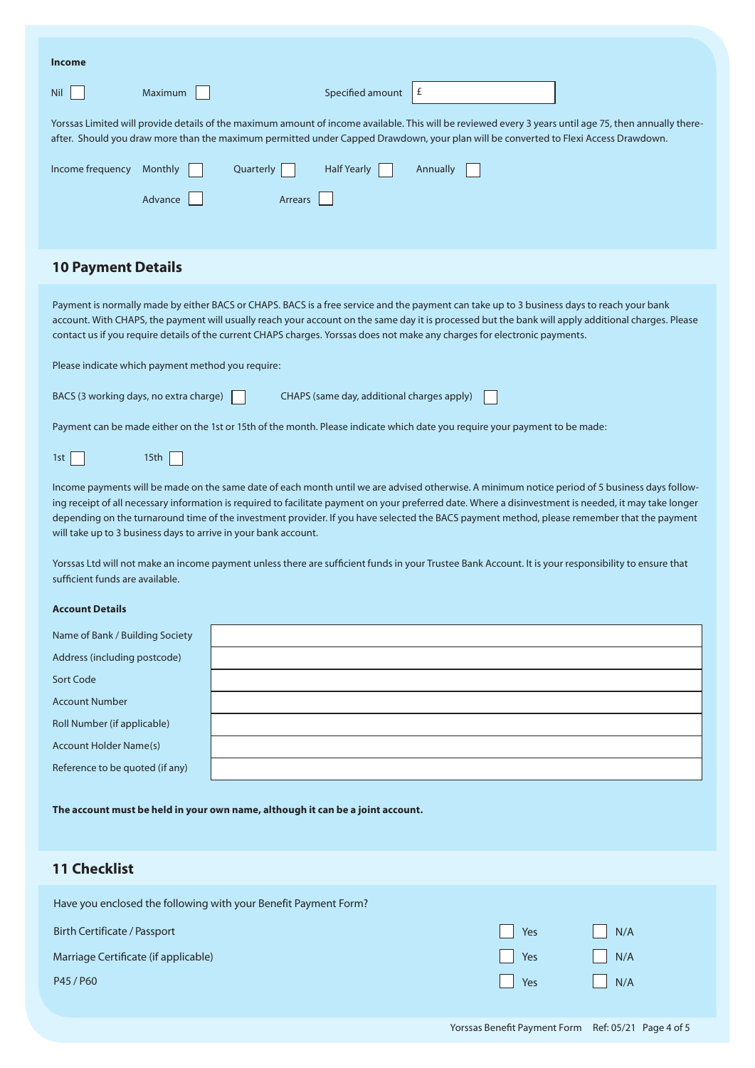#### **Income**

| Nil                                                                                                                                                                                                                                                                                                                                                                                                                                                     | Maximum              | Specified amount   | £        |  |  |  |  |  |
|---------------------------------------------------------------------------------------------------------------------------------------------------------------------------------------------------------------------------------------------------------------------------------------------------------------------------------------------------------------------------------------------------------------------------------------------------------|----------------------|--------------------|----------|--|--|--|--|--|
| Yorssas Limited will provide details of the maximum amount of income available. This will be reviewed every 3 years until age 75, then annually there-<br>after. Should you draw more than the maximum permitted under Capped Drawdown, your plan will be converted to Flexi Access Drawdown.                                                                                                                                                           |                      |                    |          |  |  |  |  |  |
| Income frequency                                                                                                                                                                                                                                                                                                                                                                                                                                        | Monthly<br>Quarterly | <b>Half Yearly</b> | Annually |  |  |  |  |  |
|                                                                                                                                                                                                                                                                                                                                                                                                                                                         | Advance              | Arrears            |          |  |  |  |  |  |
|                                                                                                                                                                                                                                                                                                                                                                                                                                                         |                      |                    |          |  |  |  |  |  |
| <b>10 Payment Details</b>                                                                                                                                                                                                                                                                                                                                                                                                                               |                      |                    |          |  |  |  |  |  |
| Payment is normally made by either BACS or CHAPS. BACS is a free service and the payment can take up to 3 business days to reach your bank<br>account. With CHAPS, the payment will usually reach your account on the same day it is processed but the bank will apply additional charges. Please<br>contact us if you require details of the current CHAPS charges. Yorssas does not make any charges for electronic payments.                         |                      |                    |          |  |  |  |  |  |
| Please indicate which payment method you require:                                                                                                                                                                                                                                                                                                                                                                                                       |                      |                    |          |  |  |  |  |  |
| BACS (3 working days, no extra charge)<br>CHAPS (same day, additional charges apply)                                                                                                                                                                                                                                                                                                                                                                    |                      |                    |          |  |  |  |  |  |
| Payment can be made either on the 1st or 15th of the month. Please indicate which date you require your payment to be made:                                                                                                                                                                                                                                                                                                                             |                      |                    |          |  |  |  |  |  |
| 1st                                                                                                                                                                                                                                                                                                                                                                                                                                                     | 15th                 |                    |          |  |  |  |  |  |
| Income payments will be made on the same date of each month until we are advised otherwise. A minimum notice period of 5 business days follow-<br>ing receipt of all necessary information is required to facilitate payment on your preferred date. Where a disinvestment is needed, it may take longer<br>depending on the turnaround time of the investment provider. If you have selected the BACS payment method, please remember that the payment |                      |                    |          |  |  |  |  |  |

**8 Bank Details** sufficient funds are available. Yorssas Ltd will not make an income payment unless there are sufficient funds in your Trustee Bank Account. It is your responsibility to ensure that

#### Please provide details of your bank account to allow Yorssas Limited to credit payments directly to your account. **Account Details**

| Name of Bank / Building Society |  |
|---------------------------------|--|
| Address (including postcode)    |  |
| Sort Code                       |  |
| <b>Account Number</b>           |  |
| Roll Number (if applicable)     |  |
| Account Holder Name(s)          |  |
| Reference to be quoted (if any) |  |

The account must be held in your own name, although it can be a joint account.

## **11 Checklist 9 Checklist**

Have you enclosed the following with your Benefit Payment Form?

will take up to 3 business days to arrive in your bank account.

| Birth Certificate / Passport         | $\Box$ Yes | N/A |
|--------------------------------------|------------|-----|
| Marriage Certificate (if applicable) | $\Box$ Yes | N/A |
| P45/P60                              | $ $ Yes    | N/A |